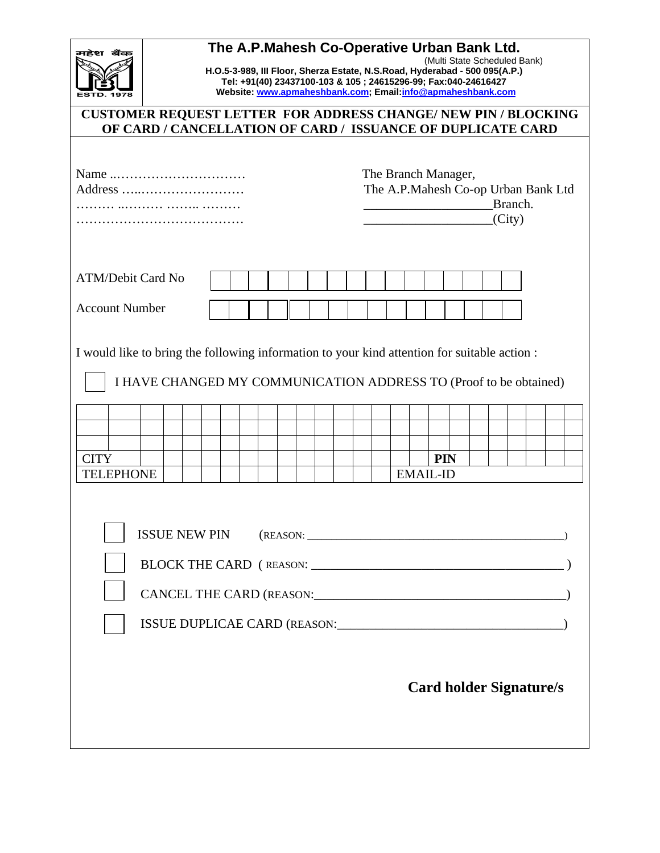| महेश बैंक                                                                                                                            | The A.P.Mahesh Co-Operative Urban Bank Ltd.<br>(Multi State Scheduled Bank)<br>H.O.5-3-989, III Floor, Sherza Estate, N.S.Road, Hyderabad - 500 095(A.P.)<br>Tel: +91(40) 23437100-103 & 105; 24615296-99; Fax:040-24616427<br>Website: www.apmaheshbank.com; Email:info@apmaheshbank.com |  |  |  |  |                                                                                 |  |  |  |  |  |  |                                |  |  |  |  |  |  |  |
|--------------------------------------------------------------------------------------------------------------------------------------|-------------------------------------------------------------------------------------------------------------------------------------------------------------------------------------------------------------------------------------------------------------------------------------------|--|--|--|--|---------------------------------------------------------------------------------|--|--|--|--|--|--|--------------------------------|--|--|--|--|--|--|--|
| <b>CUSTOMER REQUEST LETTER FOR ADDRESS CHANGE/ NEW PIN / BLOCKING</b><br>OF CARD / CANCELLATION OF CARD / ISSUANCE OF DUPLICATE CARD |                                                                                                                                                                                                                                                                                           |  |  |  |  |                                                                                 |  |  |  |  |  |  |                                |  |  |  |  |  |  |  |
| Address                                                                                                                              |                                                                                                                                                                                                                                                                                           |  |  |  |  | The Branch Manager,<br>The A.P.Mahesh Co-op Urban Bank Ltd<br>Branch.<br>(City) |  |  |  |  |  |  |                                |  |  |  |  |  |  |  |
| <b>ATM/Debit Card No</b>                                                                                                             |                                                                                                                                                                                                                                                                                           |  |  |  |  |                                                                                 |  |  |  |  |  |  |                                |  |  |  |  |  |  |  |
|                                                                                                                                      | <b>Account Number</b>                                                                                                                                                                                                                                                                     |  |  |  |  |                                                                                 |  |  |  |  |  |  |                                |  |  |  |  |  |  |  |
| I would like to bring the following information to your kind attention for suitable action :                                         | I HAVE CHANGED MY COMMUNICATION ADDRESS TO (Proof to be obtained)                                                                                                                                                                                                                         |  |  |  |  |                                                                                 |  |  |  |  |  |  |                                |  |  |  |  |  |  |  |
| <b>CITY</b><br><b>TELEPHONE</b>                                                                                                      |                                                                                                                                                                                                                                                                                           |  |  |  |  |                                                                                 |  |  |  |  |  |  | <b>PIN</b><br><b>EMAIL-ID</b>  |  |  |  |  |  |  |  |
|                                                                                                                                      | <b>ISSUE NEW PIN</b>                                                                                                                                                                                                                                                                      |  |  |  |  |                                                                                 |  |  |  |  |  |  | <b>Card holder Signature/s</b> |  |  |  |  |  |  |  |